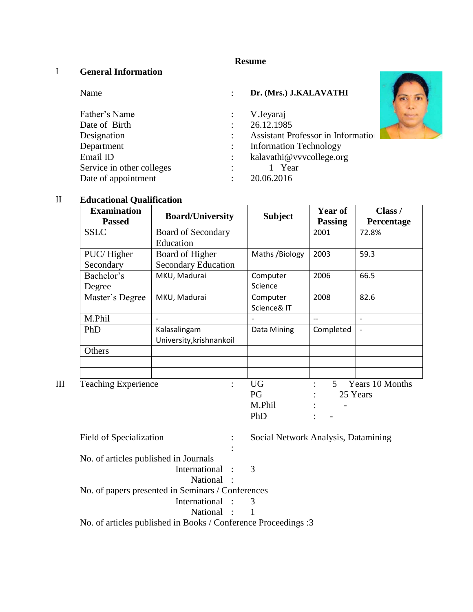# **Resume**

## I **General Information**

| Name                                  | Dr. (Mrs.) J.KALAVATHI                    |  |
|---------------------------------------|-------------------------------------------|--|
| Father's Name                         | V.Jeyaraj                                 |  |
| Date of Birth<br>$\ddot{\phantom{a}}$ | 26.12.1985                                |  |
| Designation                           | <b>Assistant Professor in Information</b> |  |
| Department<br>÷                       | <b>Information Technology</b>             |  |
| Email ID<br>÷                         | kalavathi@vvvcollege.org                  |  |
| Service in other colleges             | 1 Year                                    |  |
| Date of appointment<br>٠              | 20.06.2016                                |  |

## II **Educational Qualification**

|   | <b>Examination</b><br><b>Passed</b> | <b>Board/University</b>                       | <b>Subject</b>          | Year of<br><b>Passing</b> | Class /<br>Percentage       |
|---|-------------------------------------|-----------------------------------------------|-------------------------|---------------------------|-----------------------------|
|   | <b>SSLC</b>                         | Board of Secondary<br>Education               |                         | 2001                      | 72.8%                       |
|   | PUC/Higher<br>Secondary             | Board of Higher<br><b>Secondary Education</b> | Maths /Biology          | 2003                      | 59.3                        |
|   | Bachelor's<br>Degree                | MKU, Madurai                                  | Computer<br>Science     | 2006                      | 66.5                        |
|   | Master's Degree                     | MKU, Madurai                                  | Computer<br>Science& IT | 2008                      | 82.6                        |
|   | M.Phil                              |                                               |                         | $-$                       | $\overline{\phantom{a}}$    |
|   | PhD                                 | Kalasalingam<br>University, krishnankoil      | Data Mining             | Completed                 | $\qquad \qquad -$           |
|   | Others                              |                                               |                         |                           |                             |
|   |                                     |                                               |                         |                           |                             |
| Ш | <b>Teaching Experience</b>          | ÷                                             | <b>UG</b><br>PG         | 5                         | Years 10 Months<br>25 Years |
|   |                                     |                                               | M.Phil                  |                           |                             |
|   |                                     |                                               | PhD                     |                           |                             |

| Field of Specialization                                        |   | Social Network Analysis, Datamining |
|----------------------------------------------------------------|---|-------------------------------------|
|                                                                | ÷ |                                     |
| No. of articles published in Journals                          |   |                                     |
| International : 3                                              |   |                                     |
| National :                                                     |   |                                     |
| No. of papers presented in Seminars / Conferences              |   |                                     |
| International : 3                                              |   |                                     |
| National : 1                                                   |   |                                     |
| No. of articles published in Books / Conference Proceedings :3 |   |                                     |

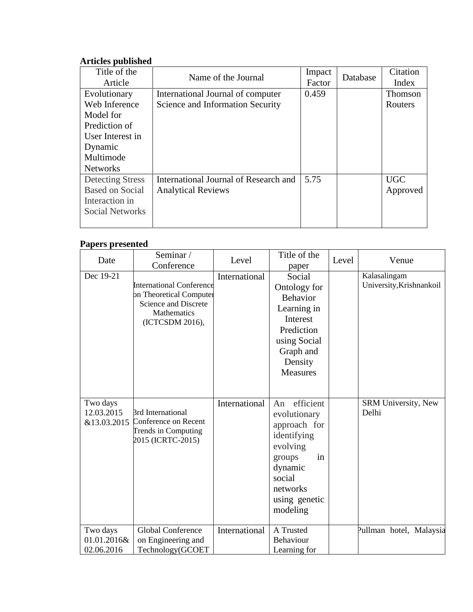### **Articles published**

| Title of the            | Name of the Journal                   | Impact | Database | Citation   |
|-------------------------|---------------------------------------|--------|----------|------------|
| Article                 |                                       | Factor |          | Index      |
| Evolutionary            | International Journal of computer     | 0.459  |          | Thomson    |
| Web Inference           | Science and Information Security      |        |          | Routers    |
| Model for               |                                       |        |          |            |
| Prediction of           |                                       |        |          |            |
| User Interest in        |                                       |        |          |            |
| Dynamic                 |                                       |        |          |            |
| Multimode               |                                       |        |          |            |
| <b>Networks</b>         |                                       |        |          |            |
| <b>Detecting Stress</b> | International Journal of Research and | 5.75   |          | <b>UGC</b> |
| <b>Based on Social</b>  | <b>Analytical Reviews</b>             |        |          | Approved   |
| Interaction in          |                                       |        |          |            |
| <b>Social Networks</b>  |                                       |        |          |            |
|                         |                                       |        |          |            |

#### **Papers presented**

| Date                                  | Seminar/<br>Conference                                                                                               | Level         | Title of the<br>paper                                                                                                                                    | Level | Venue                                    |
|---------------------------------------|----------------------------------------------------------------------------------------------------------------------|---------------|----------------------------------------------------------------------------------------------------------------------------------------------------------|-------|------------------------------------------|
| Dec 19-21                             | <b>International Conference</b><br>on Theoretical Computer<br>Science and Discrete<br>Mathematics<br>(ICTCSDM 2016), | International | Social<br>Ontology for<br><b>Behavior</b><br>Learning in<br>Interest<br>Prediction<br>using Social<br>Graph and<br>Density<br><b>Measures</b>            |       | Kalasalingam<br>University, Krishnankoil |
| Two days<br>12.03.2015<br>&13.03.2015 | <b>Brd International</b><br>Conference on Recent<br>Trends in Computing<br>2015 (ICRTC-2015)                         | International | efficient<br>An<br>evolutionary<br>approach for<br>identifying<br>evolving<br>in<br>groups<br>dynamic<br>social<br>networks<br>using genetic<br>modeling |       | SRM University, New<br>Delhi             |
| Two days<br>01.01.2016&<br>02.06.2016 | Global Conference<br>on Engineering and<br>Technology(GCOET                                                          | International | A Trusted<br>Behaviour<br>Learning for                                                                                                                   |       | Pullman hotel, Malaysia                  |